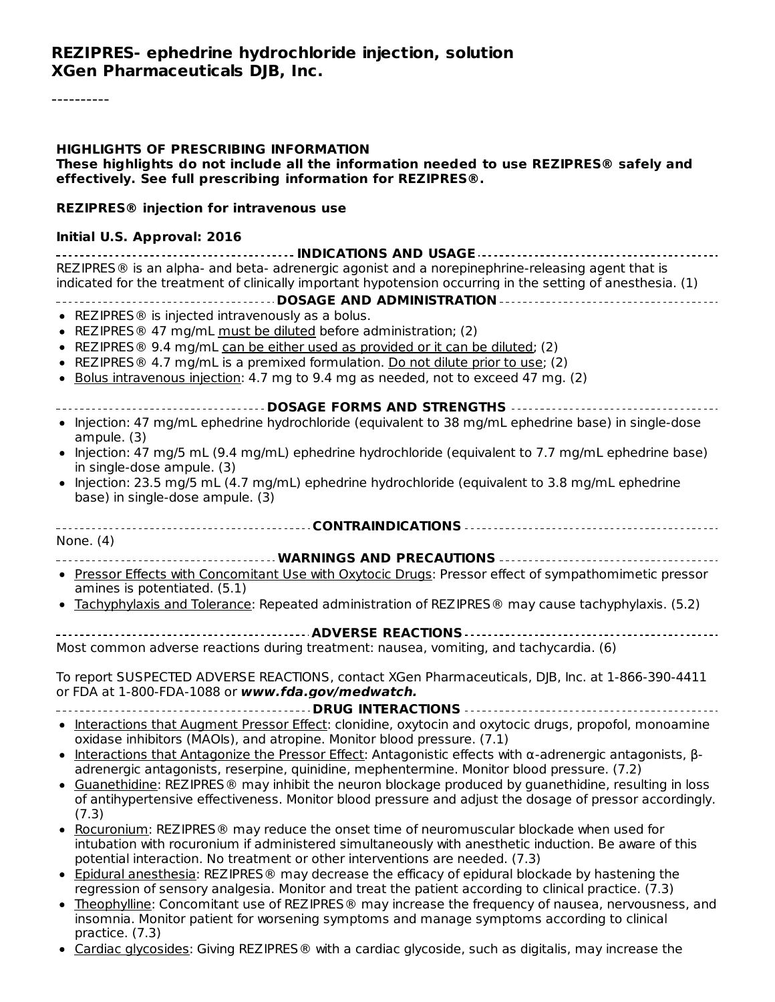#### **REZIPRES- ephedrine hydrochloride injection, solution XGen Pharmaceuticals DJB, Inc.**

### **HIGHLIGHTS OF PRESCRIBING INFORMATION These highlights do not include all the information needed to use REZIPRES® safely and effectively. See full prescribing information for REZIPRES®. REZIPRES® injection for intravenous use Initial U.S. Approval: 2016**

**INDICATIONS AND USAGE** REZIPRES® is an alpha- and beta- adrenergic agonist and a norepinephrine-releasing agent that is indicated for the treatment of clinically important hypotension occurring in the setting of anesthesia. (1)

**DOSAGE AND ADMINISTRATION**

- REZIPRES<sup>®</sup> is injected intravenously as a bolus.
- REZIPRES<sup>®</sup> 47 mg/mL must be diluted before administration; (2)
- REZIPRES  $\circledast$  9.4 mg/mL can be either used as provided or it can be diluted; (2)
- REZIPRES ® 4.7 mg/mL is a premixed formulation. Do not dilute prior to use; (2)
- Bolus intravenous injection: 4.7 mg to 9.4 mg as needed, not to exceed 47 mg.  $(2)$

#### **DOSAGE FORMS AND STRENGTHS**

- Injection: 47 mg/mL ephedrine hydrochloride (equivalent to 38 mg/mL ephedrine base) in single-dose ampule. (3)
- Injection: 47 mg/5 mL (9.4 mg/mL) ephedrine hydrochloride (equivalent to 7.7 mg/mL ephedrine base) in single-dose ampule. (3)
- Injection: 23.5 mg/5 mL (4.7 mg/mL) ephedrine hydrochloride (equivalent to 3.8 mg/mL ephedrine base) in single-dose ampule. (3)
- **CONTRAINDICATIONS** None. (4)
- **WARNINGS AND PRECAUTIONS**
- Pressor Effects with Concomitant Use with Oxytocic Drugs: Pressor effect of sympathomimetic pressor amines is potentiated. (5.1)
- Tachyphylaxis and Tolerance: Repeated administration of REZIPRES ® may cause tachyphylaxis. (5.2)
- **ADVERSE REACTIONS**

Most common adverse reactions during treatment: nausea, vomiting, and tachycardia. (6)

To report SUSPECTED ADVERSE REACTIONS, contact XGen Pharmaceuticals, DJB, Inc. at 1-866-390-4411 or FDA at 1-800-FDA-1088 or **www.fda.gov/medwatch.**

**DRUG INTERACTIONS**

- Interactions that Augment Pressor Effect: clonidine, oxytocin and oxytocic drugs, propofol, monoamine oxidase inhibitors (MAOIs), and atropine. Monitor blood pressure. (7.1)
- Interactions that Antagonize the Pressor Effect: Antagonistic effects with α-adrenergic antagonists,  $\beta$ adrenergic antagonists, reserpine, quinidine, mephentermine. Monitor blood pressure. (7.2)
- Guanethidine: REZIPRES® may inhibit the neuron blockage produced by guanethidine, resulting in loss of antihypertensive effectiveness. Monitor blood pressure and adjust the dosage of pressor accordingly. (7.3)
- Rocuronium: REZIPRES® may reduce the onset time of neuromuscular blockade when used for intubation with rocuronium if administered simultaneously with anesthetic induction. Be aware of this potential interaction. No treatment or other interventions are needed. (7.3)
- Epidural anesthesia: REZIPRES® may decrease the efficacy of epidural blockade by hastening the regression of sensory analgesia. Monitor and treat the patient according to clinical practice. (7.3)
- Theophylline: Concomitant use of REZIPRES ® may increase the frequency of nausea, nervousness, and insomnia. Monitor patient for worsening symptoms and manage symptoms according to clinical practice. (7.3)
- Cardiac glycosides: Giving REZIPRES® with a cardiac glycoside, such as digitalis, may increase the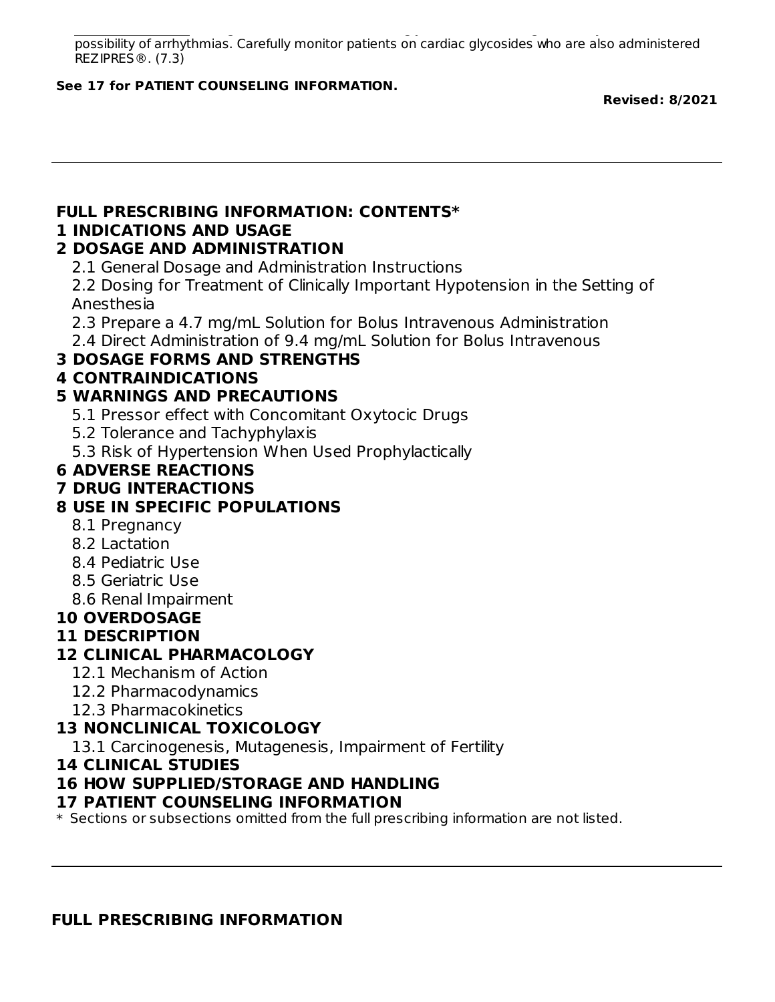Cardiac glycosides: Giving REZIPRES® with a cardiac glycoside, such as digitalis, may increase the possibility of arrhythmias. Carefully monitor patients on cardiac glycosides who are also administered REZIPRES®. (7.3)

#### **See 17 for PATIENT COUNSELING INFORMATION.**

**Revised: 8/2021**

# **FULL PRESCRIBING INFORMATION: CONTENTS\***

#### **1 INDICATIONS AND USAGE**

#### **2 DOSAGE AND ADMINISTRATION**

2.1 General Dosage and Administration Instructions

2.2 Dosing for Treatment of Clinically Important Hypotension in the Setting of Anesthesia

2.3 Prepare a 4.7 mg/mL Solution for Bolus Intravenous Administration

2.4 Direct Administration of 9.4 mg/mL Solution for Bolus Intravenous

### **3 DOSAGE FORMS AND STRENGTHS**

#### **4 CONTRAINDICATIONS**

### **5 WARNINGS AND PRECAUTIONS**

5.1 Pressor effect with Concomitant Oxytocic Drugs

5.2 Tolerance and Tachyphylaxis

5.3 Risk of Hypertension When Used Prophylactically

### **6 ADVERSE REACTIONS**

### **7 DRUG INTERACTIONS**

## **8 USE IN SPECIFIC POPULATIONS**

- 8.1 Pregnancy
- 8.2 Lactation
- 8.4 Pediatric Use
- 8.5 Geriatric Use
- 8.6 Renal Impairment

### **10 OVERDOSAGE**

### **11 DESCRIPTION**

### **12 CLINICAL PHARMACOLOGY**

- 12.1 Mechanism of Action
- 12.2 Pharmacodynamics
- 12.3 Pharmacokinetics

### **13 NONCLINICAL TOXICOLOGY**

13.1 Carcinogenesis, Mutagenesis, Impairment of Fertility

#### **14 CLINICAL STUDIES**

### **16 HOW SUPPLIED/STORAGE AND HANDLING**

#### **17 PATIENT COUNSELING INFORMATION**

 $\ast$  Sections or subsections omitted from the full prescribing information are not listed.

#### **FULL PRESCRIBING INFORMATION**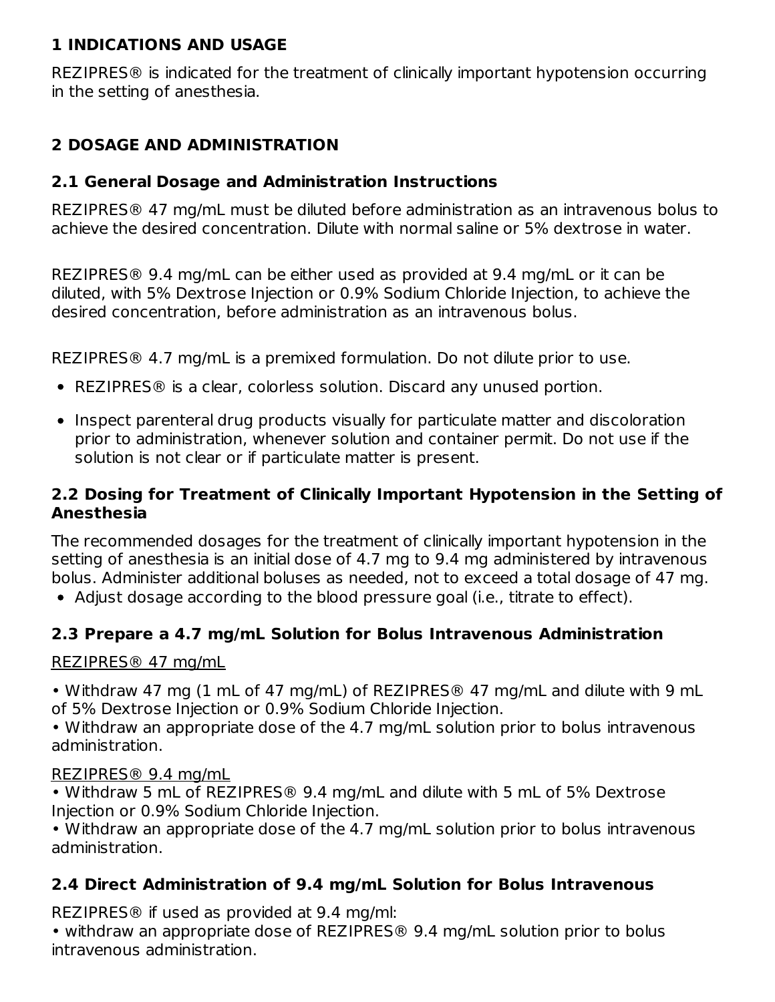#### **1 INDICATIONS AND USAGE**

REZIPRES® is indicated for the treatment of clinically important hypotension occurring in the setting of anesthesia.

## **2 DOSAGE AND ADMINISTRATION**

#### **2.1 General Dosage and Administration Instructions**

REZIPRES® 47 mg/mL must be diluted before administration as an intravenous bolus to achieve the desired concentration. Dilute with normal saline or 5% dextrose in water.

REZIPRES® 9.4 mg/mL can be either used as provided at 9.4 mg/mL or it can be diluted, with 5% Dextrose Injection or 0.9% Sodium Chloride Injection, to achieve the desired concentration, before administration as an intravenous bolus.

REZIPRES® 4.7 mg/mL is a premixed formulation. Do not dilute prior to use.

- REZIPRES® is a clear, colorless solution. Discard any unused portion.
- Inspect parenteral drug products visually for particulate matter and discoloration prior to administration, whenever solution and container permit. Do not use if the solution is not clear or if particulate matter is present.

#### **2.2 Dosing for Treatment of Clinically Important Hypotension in the Setting of Anesthesia**

The recommended dosages for the treatment of clinically important hypotension in the setting of anesthesia is an initial dose of 4.7 mg to 9.4 mg administered by intravenous bolus. Administer additional boluses as needed, not to exceed a total dosage of 47 mg.

Adjust dosage according to the blood pressure goal (i.e., titrate to effect).

### **2.3 Prepare a 4.7 mg/mL Solution for Bolus Intravenous Administration**

#### REZIPRES® 47 mg/mL

• Withdraw 47 mg (1 mL of 47 mg/mL) of REZIPRES® 47 mg/mL and dilute with 9 mL of 5% Dextrose Injection or 0.9% Sodium Chloride Injection.

• Withdraw an appropriate dose of the 4.7 mg/mL solution prior to bolus intravenous administration.

#### REZIPRES® 9.4 mg/mL

• Withdraw 5 mL of REZIPRES® 9.4 mg/mL and dilute with 5 mL of 5% Dextrose Injection or 0.9% Sodium Chloride Injection.

• Withdraw an appropriate dose of the 4.7 mg/mL solution prior to bolus intravenous administration.

### **2.4 Direct Administration of 9.4 mg/mL Solution for Bolus Intravenous**

REZIPRES® if used as provided at 9.4 mg/ml:

• withdraw an appropriate dose of REZIPRES® 9.4 mg/mL solution prior to bolus intravenous administration.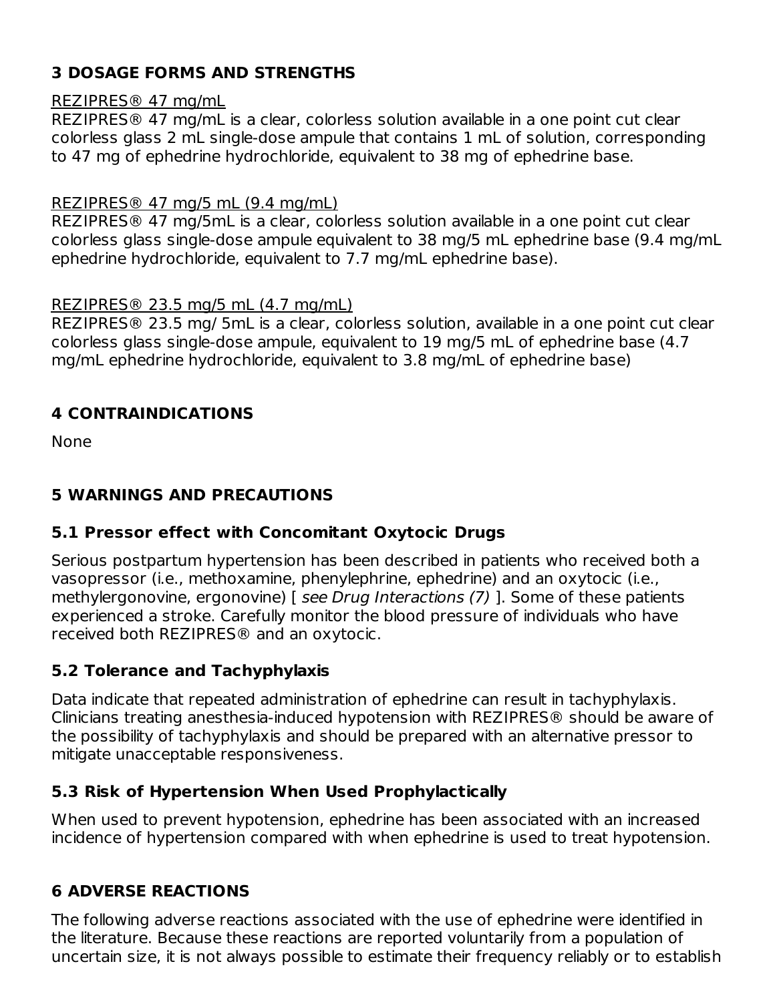### **3 DOSAGE FORMS AND STRENGTHS**

#### REZIPRES® 47 mg/mL

REZIPRES® 47 mg/mL is a clear, colorless solution available in a one point cut clear colorless glass 2 mL single-dose ampule that contains 1 mL of solution, corresponding to 47 mg of ephedrine hydrochloride, equivalent to 38 mg of ephedrine base.

#### REZIPRES® 47 mg/5 mL (9.4 mg/mL)

REZIPRES® 47 mg/5mL is a clear, colorless solution available in a one point cut clear colorless glass single-dose ampule equivalent to 38 mg/5 mL ephedrine base (9.4 mg/mL ephedrine hydrochloride, equivalent to 7.7 mg/mL ephedrine base).

#### REZIPRES® 23.5 mg/5 mL (4.7 mg/mL)

REZIPRES® 23.5 mg/ 5mL is a clear, colorless solution, available in a one point cut clear colorless glass single-dose ampule, equivalent to 19 mg/5 mL of ephedrine base (4.7 mg/mL ephedrine hydrochloride, equivalent to 3.8 mg/mL of ephedrine base)

#### **4 CONTRAINDICATIONS**

None

### **5 WARNINGS AND PRECAUTIONS**

### **5.1 Pressor effect with Concomitant Oxytocic Drugs**

Serious postpartum hypertension has been described in patients who received both a vasopressor (i.e., methoxamine, phenylephrine, ephedrine) and an oxytocic (i.e., methylergonovine, ergonovine) [ see Drug Interactions (7) ]. Some of these patients experienced a stroke. Carefully monitor the blood pressure of individuals who have received both REZIPRES® and an oxytocic.

### **5.2 Tolerance and Tachyphylaxis**

Data indicate that repeated administration of ephedrine can result in tachyphylaxis. Clinicians treating anesthesia-induced hypotension with REZIPRES® should be aware of the possibility of tachyphylaxis and should be prepared with an alternative pressor to mitigate unacceptable responsiveness.

#### **5.3 Risk of Hypertension When Used Prophylactically**

When used to prevent hypotension, ephedrine has been associated with an increased incidence of hypertension compared with when ephedrine is used to treat hypotension.

### **6 ADVERSE REACTIONS**

The following adverse reactions associated with the use of ephedrine were identified in the literature. Because these reactions are reported voluntarily from a population of uncertain size, it is not always possible to estimate their frequency reliably or to establish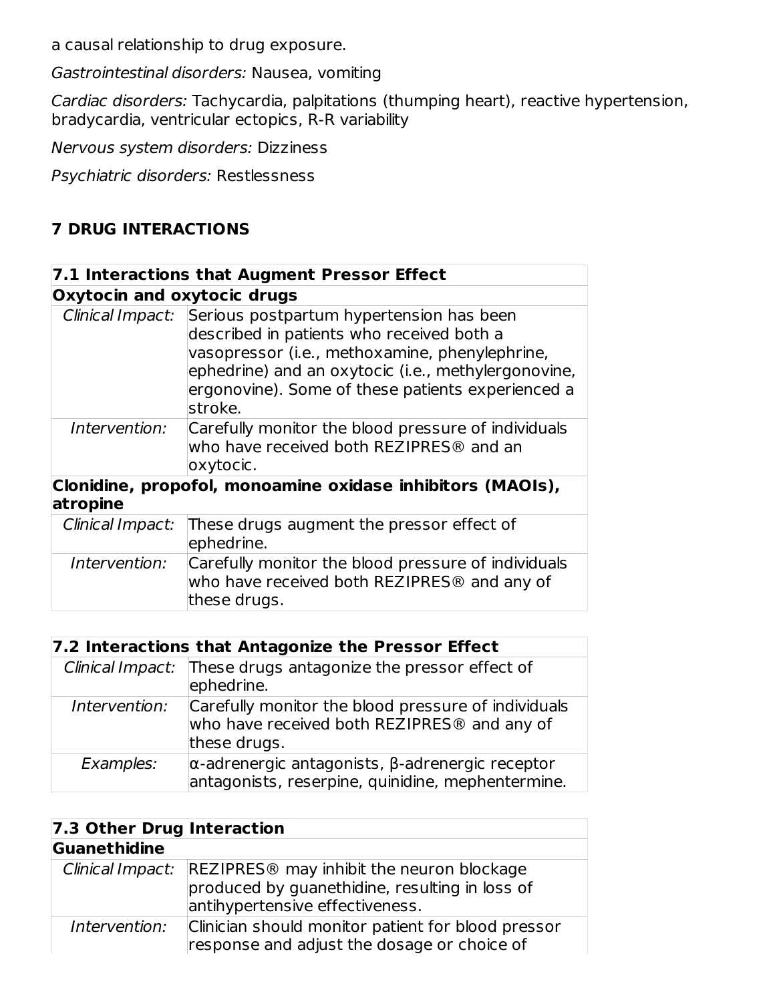a causal relationship to drug exposure.

Gastrointestinal disorders: Nausea, vomiting

Cardiac disorders: Tachycardia, palpitations (thumping heart), reactive hypertension, bradycardia, ventricular ectopics, R-R variability

Nervous system disorders: Dizziness

Psychiatric disorders: Restlessness

### **7 DRUG INTERACTIONS**

|                                    | 7.1 Interactions that Augment Pressor Effect                                                                                                                                                                                                                                    |
|------------------------------------|---------------------------------------------------------------------------------------------------------------------------------------------------------------------------------------------------------------------------------------------------------------------------------|
| <b>Oxytocin and oxytocic drugs</b> |                                                                                                                                                                                                                                                                                 |
|                                    | Clinical Impact: Serious postpartum hypertension has been<br>described in patients who received both a<br>vasopressor (i.e., methoxamine, phenylephrine,<br>ephedrine) and an oxytocic (i.e., methylergonovine,<br>ergonovine). Some of these patients experienced a<br>stroke. |
| Intervention:                      | Carefully monitor the blood pressure of individuals<br>who have received both REZIPRES <sup>®</sup> and an<br>oxytocic.                                                                                                                                                         |
| atropine                           | Clonidine, propofol, monoamine oxidase inhibitors (MAOIs),                                                                                                                                                                                                                      |
| Clinical Impact:                   | These drugs augment the pressor effect of<br>ephedrine.                                                                                                                                                                                                                         |
| Intervention:                      | Carefully monitor the blood pressure of individuals<br>who have received both REZIPRES <sup>®</sup> and any of<br>these drugs.                                                                                                                                                  |

| 7.2 Interactions that Antagonize the Pressor Effect |                                                                                                                                |  |  |  |
|-----------------------------------------------------|--------------------------------------------------------------------------------------------------------------------------------|--|--|--|
|                                                     | Clinical Impact: These drugs antagonize the pressor effect of<br>ephedrine.                                                    |  |  |  |
| Intervention:                                       | Carefully monitor the blood pressure of individuals<br>who have received both REZIPRES <sup>®</sup> and any of<br>these drugs. |  |  |  |
| Examples:                                           | $\alpha$ -adrenergic antagonists, $\beta$ -adrenergic receptor<br>antagonists, reserpine, quinidine, mephentermine.            |  |  |  |

| 7.3 Other Drug Interaction |                                                                                                                                                             |  |  |  |
|----------------------------|-------------------------------------------------------------------------------------------------------------------------------------------------------------|--|--|--|
| Guanethidine               |                                                                                                                                                             |  |  |  |
|                            | Clinical Impact: REZIPRES <sup>®</sup> may inhibit the neuron blockage<br>produced by guanethidine, resulting in loss of<br>antihypertensive effectiveness. |  |  |  |
| Intervention:              | Clinician should monitor patient for blood pressor<br>response and adjust the dosage or choice of                                                           |  |  |  |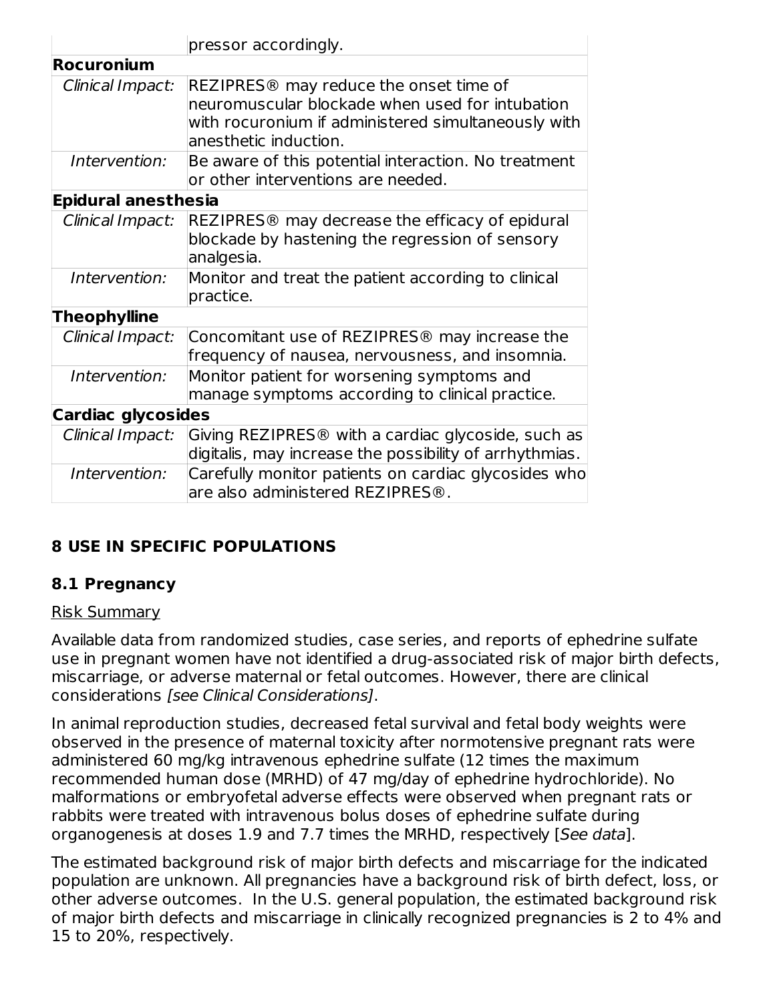|                            | pressor accordingly.                                                                                                                                                                  |
|----------------------------|---------------------------------------------------------------------------------------------------------------------------------------------------------------------------------------|
| <b>Rocuronium</b>          |                                                                                                                                                                                       |
| Clinical Impact:           | REZIPRES <sup>®</sup> may reduce the onset time of<br>neuromuscular blockade when used for intubation<br>with rocuronium if administered simultaneously with<br>anesthetic induction. |
| Intervention:              | Be aware of this potential interaction. No treatment<br>or other interventions are needed.                                                                                            |
| <b>Epidural anesthesia</b> |                                                                                                                                                                                       |
| Clinical Impact:           | REZIPRES <sup>®</sup> may decrease the efficacy of epidural<br>blockade by hastening the regression of sensory<br>analgesia.                                                          |
| Intervention:              | Monitor and treat the patient according to clinical<br>practice.                                                                                                                      |
| <b>Theophylline</b>        |                                                                                                                                                                                       |
| Clinical Impact:           | Concomitant use of REZIPRES <sup>®</sup> may increase the<br>frequency of nausea, nervousness, and insomnia.                                                                          |
| Intervention:              | Monitor patient for worsening symptoms and<br>manage symptoms according to clinical practice.                                                                                         |
| <b>Cardiac glycosides</b>  |                                                                                                                                                                                       |
| Clinical Impact:           | Giving REZIPRES <sup>®</sup> with a cardiac glycoside, such as<br>digitalis, may increase the possibility of arrhythmias.                                                             |
| Intervention:              | Carefully monitor patients on cardiac glycosides who<br>are also administered REZIPRES <sup>®</sup> .                                                                                 |

## **8 USE IN SPECIFIC POPULATIONS**

## **8.1 Pregnancy**

#### Risk Summary

Available data from randomized studies, case series, and reports of ephedrine sulfate use in pregnant women have not identified a drug-associated risk of major birth defects, miscarriage, or adverse maternal or fetal outcomes. However, there are clinical considerations [see Clinical Considerations].

In animal reproduction studies, decreased fetal survival and fetal body weights were observed in the presence of maternal toxicity after normotensive pregnant rats were administered 60 mg/kg intravenous ephedrine sulfate (12 times the maximum recommended human dose (MRHD) of 47 mg/day of ephedrine hydrochloride). No malformations or embryofetal adverse effects were observed when pregnant rats or rabbits were treated with intravenous bolus doses of ephedrine sulfate during organogenesis at doses 1.9 and 7.7 times the MRHD, respectively [See data].

The estimated background risk of major birth defects and miscarriage for the indicated population are unknown. All pregnancies have a background risk of birth defect, loss, or other adverse outcomes. In the U.S. general population, the estimated background risk of major birth defects and miscarriage in clinically recognized pregnancies is 2 to 4% and 15 to 20%, respectively.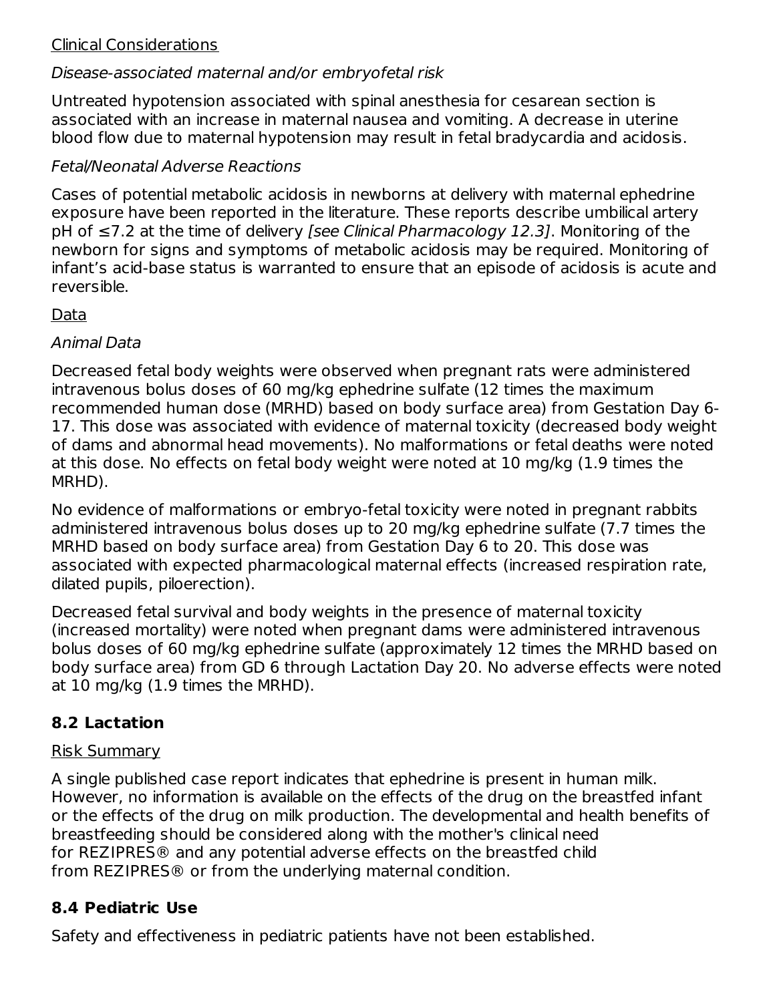#### Clinical Considerations

### Disease-associated maternal and/or embryofetal risk

Untreated hypotension associated with spinal anesthesia for cesarean section is associated with an increase in maternal nausea and vomiting. A decrease in uterine blood flow due to maternal hypotension may result in fetal bradycardia and acidosis.

### Fetal/Neonatal Adverse Reactions

Cases of potential metabolic acidosis in newborns at delivery with maternal ephedrine exposure have been reported in the literature. These reports describe umbilical artery pH of ≤7.2 at the time of delivery [see Clinical Pharmacology 12.3]. Monitoring of the newborn for signs and symptoms of metabolic acidosis may be required. Monitoring of infant's acid-base status is warranted to ensure that an episode of acidosis is acute and reversible.

### Data

### Animal Data

Decreased fetal body weights were observed when pregnant rats were administered intravenous bolus doses of 60 mg/kg ephedrine sulfate (12 times the maximum recommended human dose (MRHD) based on body surface area) from Gestation Day 6- 17. This dose was associated with evidence of maternal toxicity (decreased body weight of dams and abnormal head movements). No malformations or fetal deaths were noted at this dose. No effects on fetal body weight were noted at 10 mg/kg (1.9 times the MRHD).

No evidence of malformations or embryo-fetal toxicity were noted in pregnant rabbits administered intravenous bolus doses up to 20 mg/kg ephedrine sulfate (7.7 times the MRHD based on body surface area) from Gestation Day 6 to 20. This dose was associated with expected pharmacological maternal effects (increased respiration rate, dilated pupils, piloerection).

Decreased fetal survival and body weights in the presence of maternal toxicity (increased mortality) were noted when pregnant dams were administered intravenous bolus doses of 60 mg/kg ephedrine sulfate (approximately 12 times the MRHD based on body surface area) from GD 6 through Lactation Day 20. No adverse effects were noted at 10 mg/kg (1.9 times the MRHD).

## **8.2 Lactation**

#### Risk Summary

A single published case report indicates that ephedrine is present in human milk. However, no information is available on the effects of the drug on the breastfed infant or the effects of the drug on milk production. The developmental and health benefits of breastfeeding should be considered along with the mother's clinical need for REZIPRES® and any potential adverse effects on the breastfed child from REZIPRES® or from the underlying maternal condition.

### **8.4 Pediatric Use**

Safety and effectiveness in pediatric patients have not been established.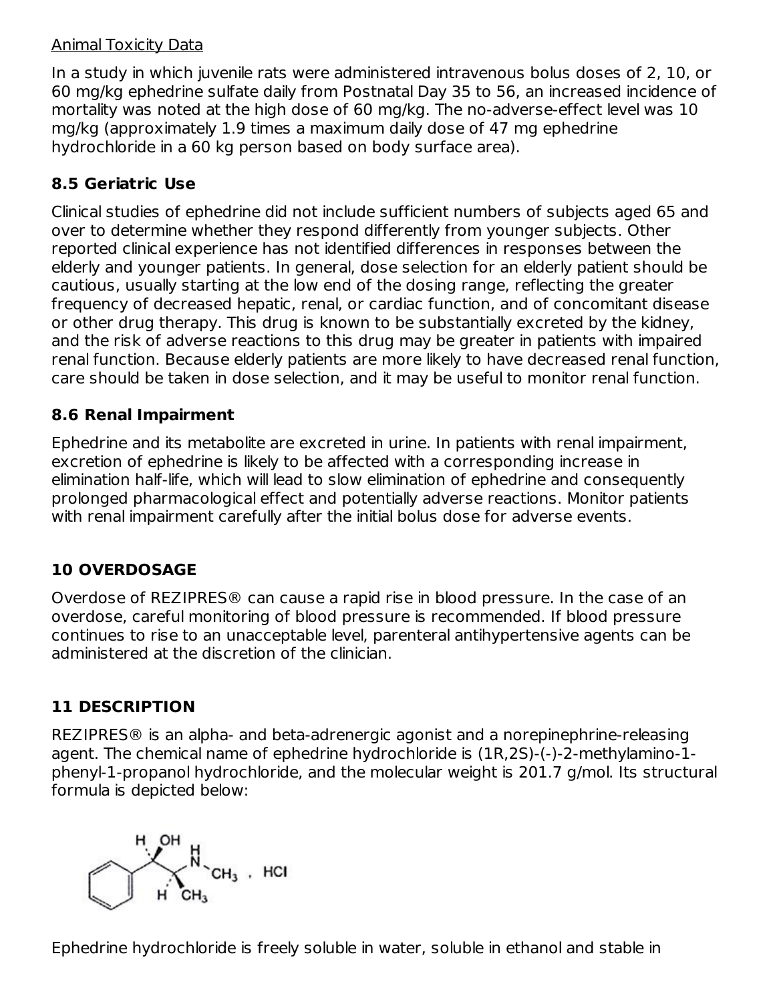#### Animal Toxicity Data

In a study in which juvenile rats were administered intravenous bolus doses of 2, 10, or 60 mg/kg ephedrine sulfate daily from Postnatal Day 35 to 56, an increased incidence of mortality was noted at the high dose of 60 mg/kg. The no-adverse-effect level was 10 mg/kg (approximately 1.9 times a maximum daily dose of 47 mg ephedrine hydrochloride in a 60 kg person based on body surface area).

## **8.5 Geriatric Use**

Clinical studies of ephedrine did not include sufficient numbers of subjects aged 65 and over to determine whether they respond differently from younger subjects. Other reported clinical experience has not identified differences in responses between the elderly and younger patients. In general, dose selection for an elderly patient should be cautious, usually starting at the low end of the dosing range, reflecting the greater frequency of decreased hepatic, renal, or cardiac function, and of concomitant disease or other drug therapy. This drug is known to be substantially excreted by the kidney, and the risk of adverse reactions to this drug may be greater in patients with impaired renal function. Because elderly patients are more likely to have decreased renal function, care should be taken in dose selection, and it may be useful to monitor renal function.

### **8.6 Renal Impairment**

Ephedrine and its metabolite are excreted in urine. In patients with renal impairment, excretion of ephedrine is likely to be affected with a corresponding increase in elimination half-life, which will lead to slow elimination of ephedrine and consequently prolonged pharmacological effect and potentially adverse reactions. Monitor patients with renal impairment carefully after the initial bolus dose for adverse events.

# **10 OVERDOSAGE**

Overdose of REZIPRES® can cause a rapid rise in blood pressure. In the case of an overdose, careful monitoring of blood pressure is recommended. If blood pressure continues to rise to an unacceptable level, parenteral antihypertensive agents can be administered at the discretion of the clinician.

# **11 DESCRIPTION**

REZIPRES® is an alpha- and beta-adrenergic agonist and a norepinephrine-releasing agent. The chemical name of ephedrine hydrochloride is (1R,2S)-(-)-2-methylamino-1 phenyl-1-propanol hydrochloride, and the molecular weight is 201.7 g/mol. Its structural formula is depicted below:



Ephedrine hydrochloride is freely soluble in water, soluble in ethanol and stable in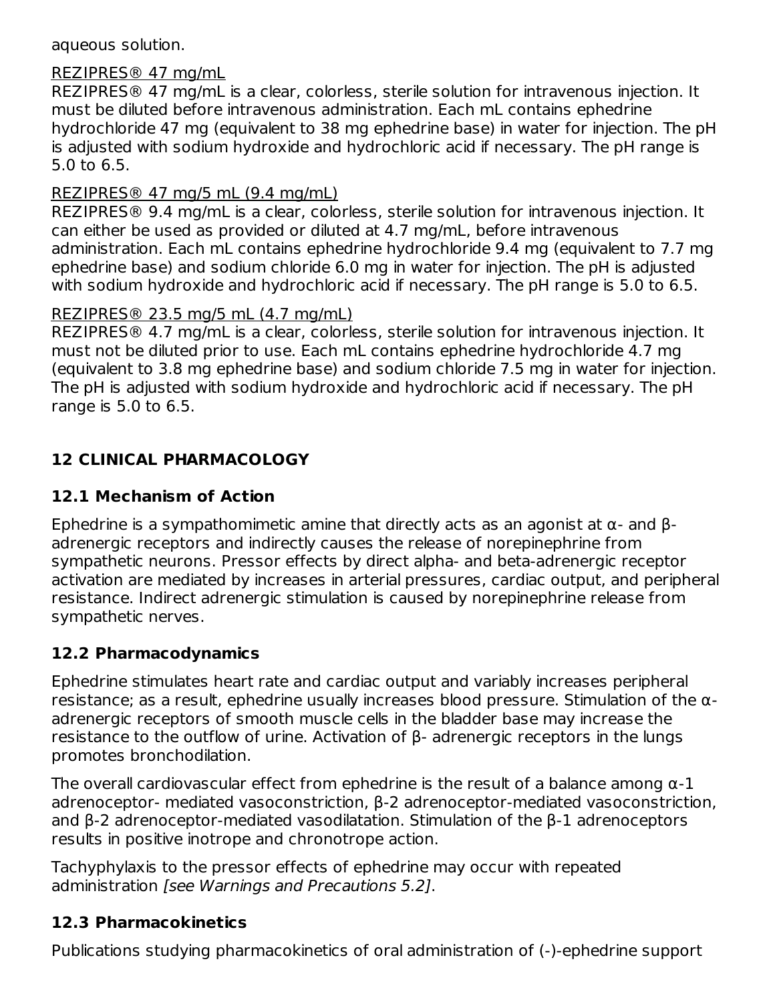aqueous solution.

#### REZIPRES® 47 mg/mL

REZIPRES® 47 mg/mL is a clear, colorless, sterile solution for intravenous injection. It must be diluted before intravenous administration. Each mL contains ephedrine hydrochloride 47 mg (equivalent to 38 mg ephedrine base) in water for injection. The pH is adjusted with sodium hydroxide and hydrochloric acid if necessary. The pH range is 5.0 to 6.5.

#### REZIPRES® 47 mg/5 mL (9.4 mg/mL)

REZIPRES® 9.4 mg/mL is a clear, colorless, sterile solution for intravenous injection. It can either be used as provided or diluted at 4.7 mg/mL, before intravenous administration. Each mL contains ephedrine hydrochloride 9.4 mg (equivalent to 7.7 mg ephedrine base) and sodium chloride 6.0 mg in water for injection. The pH is adjusted with sodium hydroxide and hydrochloric acid if necessary. The pH range is 5.0 to 6.5.

#### REZIPRES® 23.5 mg/5 mL (4.7 mg/mL)

REZIPRES® 4.7 mg/mL is a clear, colorless, sterile solution for intravenous injection. It must not be diluted prior to use. Each mL contains ephedrine hydrochloride 4.7 mg (equivalent to 3.8 mg ephedrine base) and sodium chloride 7.5 mg in water for injection. The pH is adjusted with sodium hydroxide and hydrochloric acid if necessary. The pH range is 5.0 to 6.5.

## **12 CLINICAL PHARMACOLOGY**

### **12.1 Mechanism of Action**

Ephedrine is a sympathomimetic amine that directly acts as an agonist at α- and βadrenergic receptors and indirectly causes the release of norepinephrine from sympathetic neurons. Pressor effects by direct alpha- and beta-adrenergic receptor activation are mediated by increases in arterial pressures, cardiac output, and peripheral resistance. Indirect adrenergic stimulation is caused by norepinephrine release from sympathetic nerves.

### **12.2 Pharmacodynamics**

Ephedrine stimulates heart rate and cardiac output and variably increases peripheral resistance; as a result, ephedrine usually increases blood pressure. Stimulation of the αadrenergic receptors of smooth muscle cells in the bladder base may increase the resistance to the outflow of urine. Activation of β- adrenergic receptors in the lungs promotes bronchodilation.

The overall cardiovascular effect from ephedrine is the result of a balance among  $\alpha$ -1 adrenoceptor- mediated vasoconstriction, β-2 adrenoceptor-mediated vasoconstriction, and β-2 adrenoceptor-mediated vasodilatation. Stimulation of the β-1 adrenoceptors results in positive inotrope and chronotrope action.

Tachyphylaxis to the pressor effects of ephedrine may occur with repeated administration [see Warnings and Precautions 5.2].

### **12.3 Pharmacokinetics**

Publications studying pharmacokinetics of oral administration of (-)-ephedrine support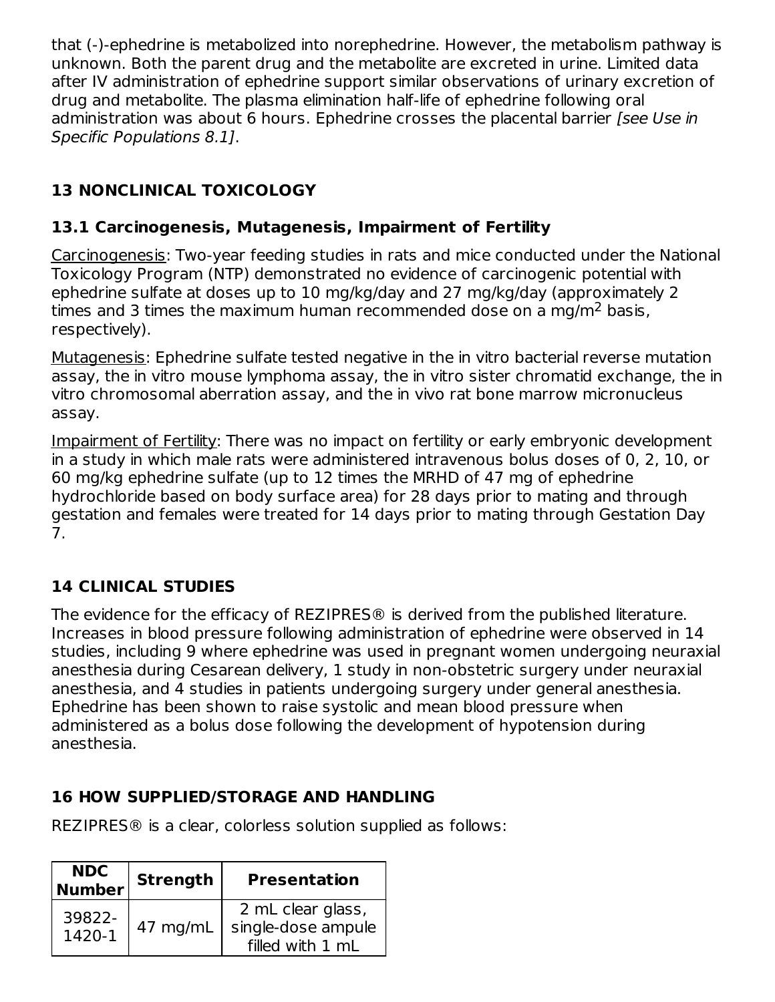that (-)-ephedrine is metabolized into norephedrine. However, the metabolism pathway is unknown. Both the parent drug and the metabolite are excreted in urine. Limited data after IV administration of ephedrine support similar observations of urinary excretion of drug and metabolite. The plasma elimination half-life of ephedrine following oral administration was about 6 hours. Ephedrine crosses the placental barrier [see Use in Specific Populations 8.1].

# **13 NONCLINICAL TOXICOLOGY**

### **13.1 Carcinogenesis, Mutagenesis, Impairment of Fertility**

Carcinogenesis: Two-year feeding studies in rats and mice conducted under the National Toxicology Program (NTP) demonstrated no evidence of carcinogenic potential with ephedrine sulfate at doses up to 10 mg/kg/day and 27 mg/kg/day (approximately 2 times and 3 times the maximum human recommended dose on a mg/m<sup>2</sup> basis, respectively).

Mutagenesis: Ephedrine sulfate tested negative in the in vitro bacterial reverse mutation assay, the in vitro mouse lymphoma assay, the in vitro sister chromatid exchange, the in vitro chromosomal aberration assay, and the in vivo rat bone marrow micronucleus assay.

Impairment of Fertility: There was no impact on fertility or early embryonic development in a study in which male rats were administered intravenous bolus doses of 0, 2, 10, or 60 mg/kg ephedrine sulfate (up to 12 times the MRHD of 47 mg of ephedrine hydrochloride based on body surface area) for 28 days prior to mating and through gestation and females were treated for 14 days prior to mating through Gestation Day 7.

# **14 CLINICAL STUDIES**

The evidence for the efficacy of REZIPRES® is derived from the published literature. Increases in blood pressure following administration of ephedrine were observed in 14 studies, including 9 where ephedrine was used in pregnant women undergoing neuraxial anesthesia during Cesarean delivery, 1 study in non-obstetric surgery under neuraxial anesthesia, and 4 studies in patients undergoing surgery under general anesthesia. Ephedrine has been shown to raise systolic and mean blood pressure when administered as a bolus dose following the development of hypotension during anesthesia.

## **16 HOW SUPPLIED/STORAGE AND HANDLING**

REZIPRES® is a clear, colorless solution supplied as follows:

| <b>NDC</b>       | <b>Strength</b>     |                                                             |
|------------------|---------------------|-------------------------------------------------------------|
| <b>Number</b>    | <b>Presentation</b> |                                                             |
| 39822-<br>1420-1 | 47 mg/mL            | 2 mL clear glass,<br>single-dose ampule<br>filled with 1 mL |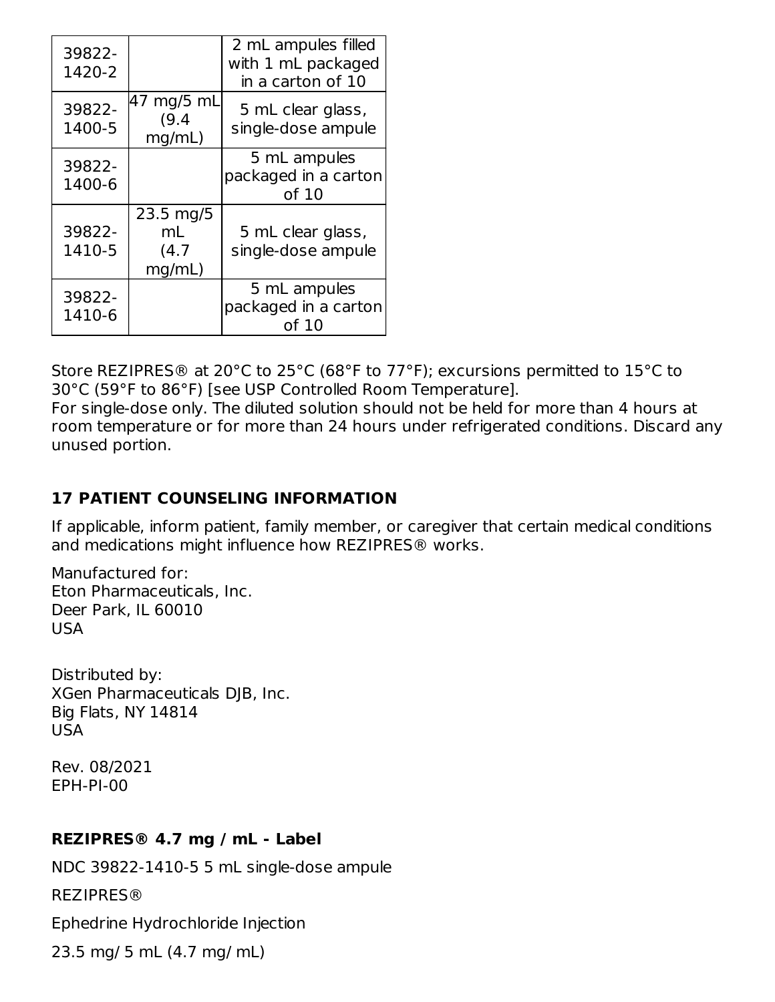| 39822-<br>1420-2 |                                    | 2 mL ampules filled<br>with 1 mL packaged<br>in a carton of 10 |
|------------------|------------------------------------|----------------------------------------------------------------|
| 39822-<br>1400-5 | 47 mg/5 mL<br>(9.4)<br>mq/mL)      | 5 mL clear glass,<br>single-dose ampule                        |
| 39822-<br>1400-6 |                                    | 5 mL ampules<br>packaged in a carton<br>of 10                  |
| 39822-<br>1410-5 | 23.5 mg/5<br>mL<br>(4.7)<br>mq/mL) | 5 mL clear glass,<br>single-dose ampule                        |
| 39822-<br>1410-6 |                                    | 5 mL ampules<br>packaged in a carton<br>of 10                  |

Store REZIPRES® at 20°C to 25°C (68°F to 77°F); excursions permitted to 15°C to 30°C (59°F to 86°F) [see USP Controlled Room Temperature].

For single-dose only. The diluted solution should not be held for more than 4 hours at room temperature or for more than 24 hours under refrigerated conditions. Discard any unused portion.

### **17 PATIENT COUNSELING INFORMATION**

If applicable, inform patient, family member, or caregiver that certain medical conditions and medications might influence how REZIPRES® works.

Manufactured for: Eton Pharmaceuticals, Inc. Deer Park, IL 60010 USA

Distributed by: XGen Pharmaceuticals DJB, Inc. Big Flats, NY 14814 USA

Rev. 08/2021 EPH-PI-00

### **REZIPRES® 4.7 mg / mL - Label**

NDC 39822-1410-5 5 mL single-dose ampule REZIPRES® Ephedrine Hydrochloride Injection

23.5 mg/ 5 mL (4.7 mg/ mL)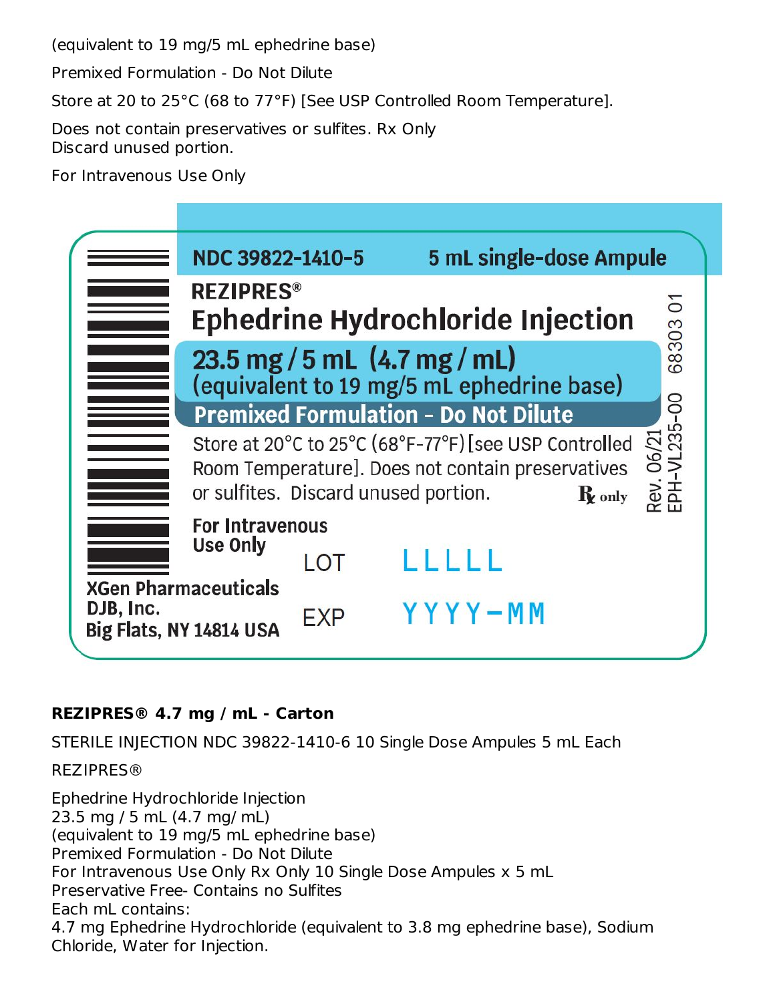(equivalent to 19 mg/5 mL ephedrine base)

Premixed Formulation - Do Not Dilute

Store at 20 to 25°C (68 to 77°F) [See USP Controlled Room Temperature].

Does not contain preservatives or sulfites. Rx Only Discard unused portion.

For Intravenous Use Only

|           | NDC 39822-1410-5                                       |      | 5 mL single-dose Ampule                                                                                                                                                |            |
|-----------|--------------------------------------------------------|------|------------------------------------------------------------------------------------------------------------------------------------------------------------------------|------------|
|           | <b>REZIPRES®</b>                                       |      | <b>Ephedrine Hydrochloride Injection</b>                                                                                                                               | 6830301    |
|           |                                                        |      | 23.5 mg / 5 mL $(4.7 \text{ mg/mL})$<br>(equivalent to 19 mg/5 mL ephedrine base)                                                                                      |            |
|           |                                                        |      | <b>Premixed Formulation - Do Not Dilute</b>                                                                                                                            |            |
|           |                                                        |      | Store at 20°C to 25°C (68°F-77°F) [see USP Controlled<br>Room Temperature]. Does not contain preservatives<br>or sulfites. Discard unused portion.<br>$\mathbf R$ only | Rev. 06/21 |
|           | <b>For Intravenous</b>                                 |      |                                                                                                                                                                        |            |
|           | Use Only                                               | I OT |                                                                                                                                                                        |            |
| DJB, Inc. | <b>XGen Pharmaceuticals</b><br>Big Flats, NY 14814 USA | EXP  | YYYY-MM                                                                                                                                                                |            |

### **REZIPRES® 4.7 mg / mL - Carton**

STERILE INJECTION NDC 39822-1410-6 10 Single Dose Ampules 5 mL Each

REZIPRES®

Ephedrine Hydrochloride Injection 23.5 mg / 5 mL (4.7 mg/ mL) (equivalent to 19 mg/5 mL ephedrine base) Premixed Formulation - Do Not Dilute For Intravenous Use Only Rx Only 10 Single Dose Ampules x 5 mL Preservative Free- Contains no Sulfites Each mL contains: 4.7 mg Ephedrine Hydrochloride (equivalent to 3.8 mg ephedrine base), Sodium Chloride, Water for Injection.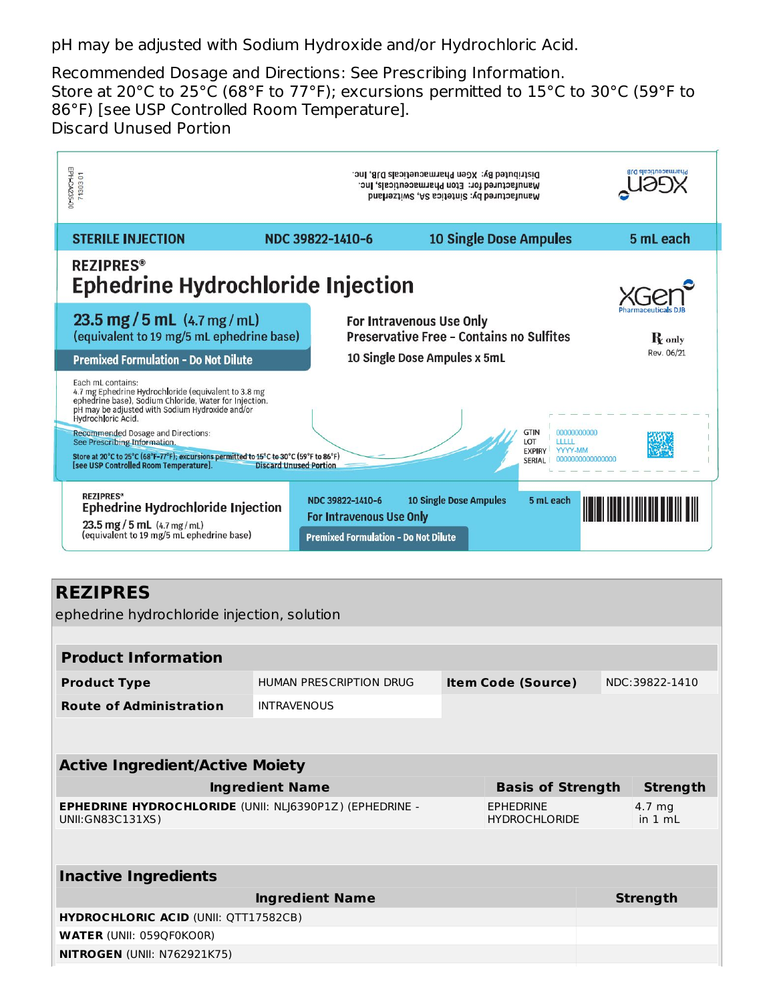pH may be adjusted with Sodium Hydroxide and/or Hydrochloric Acid.

Recommended Dosage and Directions: See Prescribing Information. Store at 20°C to 25°C (68°F to 77°F); excursions permitted to 15°C to 30°C (59°F to 86°F) [see USP Controlled Room Temperature]. Discard Unused Portion

| N 0 20217<br>EPH-CA235-00                                                                                                                                                                                                                                                                                                                                                                                                     | Distributed By: XGen Pharmacueticals DJB, Inc.<br>Manufactured for: Eton Pharmaceuticals, Inc.<br>Manufactured by: Sintetica SA, Switzerland |                                                                                      |            |
|-------------------------------------------------------------------------------------------------------------------------------------------------------------------------------------------------------------------------------------------------------------------------------------------------------------------------------------------------------------------------------------------------------------------------------|----------------------------------------------------------------------------------------------------------------------------------------------|--------------------------------------------------------------------------------------|------------|
| <b>STERILE INJECTION</b>                                                                                                                                                                                                                                                                                                                                                                                                      | NDC 39822-1410-6                                                                                                                             | <b>10 Single Dose Ampules</b>                                                        | 5 mL each  |
| <b>REZIPRES®</b><br><b>Ephedrine Hydrochloride Injection</b>                                                                                                                                                                                                                                                                                                                                                                  |                                                                                                                                              |                                                                                      |            |
| 23.5 mg / 5 mL $(4.7 \text{ mg/mL})$<br>(equivalent to 19 mg/5 mL ephedrine base)                                                                                                                                                                                                                                                                                                                                             | For Intravenous Use Only                                                                                                                     | <b>Preservative Free - Contains no Sulfites</b>                                      |            |
| <b>Premixed Formulation - Do Not Dilute</b>                                                                                                                                                                                                                                                                                                                                                                                   | 10 Single Dose Ampules x 5mL                                                                                                                 |                                                                                      | Rev. 06/21 |
| Each mL contains:<br>4.7 mg Ephedrine Hydrochloride (equivalent to 3.8 mg<br>ephedrine base), Sodium Chloride, Water for Injection.<br>pH may be adjusted with Sodium Hydroxide and/or<br>Hydrochloric Acid.<br><b>Recommended Dosage and Directions:</b><br>See Prescribing Information.<br>Store at 20°C to 25°C (68°F-77°F); excursions permitted to 15°C to 30°C (59°F to 86°F)<br>[see USP Controlled Room Temperature]. | <b>Discard Unused Portion</b>                                                                                                                | <b>GTIN</b><br>00000000000<br>LOT<br>ШП<br><b>EXPIRY</b><br><b>YYYY-MM</b><br>SERIAL |            |
| <b>REZIPRES®</b><br><b>Ephedrine Hydrochloride Injection</b><br>23.5 mg / 5 mL (4.7 mg/mL)<br>(equivalent to 19 mg/5 mL ephedrine base)                                                                                                                                                                                                                                                                                       | <b>10 Single Dose Ampules</b><br>NDC 39822-1410-6<br>For Intravenous Use Only<br><b>Premixed Formulation - Do Not Dilute</b>                 | 5 mL each                                                                            |            |

## **REZIPRES**

ephedrine hydrochloride injection, solution

| <b>Product Information</b>                                                          |                         |                                          |                           |                     |                 |
|-------------------------------------------------------------------------------------|-------------------------|------------------------------------------|---------------------------|---------------------|-----------------|
| <b>Product Type</b>                                                                 | HUMAN PRESCRIPTION DRUG |                                          | <b>Item Code (Source)</b> |                     | NDC:39822-1410  |
| <b>Route of Administration</b><br><b>INTRAVENOUS</b>                                |                         |                                          |                           |                     |                 |
|                                                                                     |                         |                                          |                           |                     |                 |
|                                                                                     |                         |                                          |                           |                     |                 |
| <b>Active Ingredient/Active Moiety</b>                                              |                         |                                          |                           |                     |                 |
| <b>Ingredient Name</b><br><b>Basis of Strength</b>                                  |                         |                                          |                           | <b>Strength</b>     |                 |
| <b>EPHEDRINE HYDROCHLORIDE (UNII: NLJ6390P1Z) (EPHEDRINE -</b><br>UNII: GN83C131XS) |                         | <b>EPHEDRINE</b><br><b>HYDROCHLORIDE</b> |                           | 4.7 mg<br>in $1 mL$ |                 |
|                                                                                     |                         |                                          |                           |                     |                 |
|                                                                                     |                         |                                          |                           |                     |                 |
| <b>Inactive Ingredients</b>                                                         |                         |                                          |                           |                     |                 |
|                                                                                     | <b>Ingredient Name</b>  |                                          |                           |                     | <b>Strength</b> |
| <b>HYDROCHLORIC ACID (UNII: QTT17582CB)</b>                                         |                         |                                          |                           |                     |                 |
| <b>WATER (UNII: 059QF0KO0R)</b>                                                     |                         |                                          |                           |                     |                 |
| <b>NITROGEN (UNII: N762921K75)</b>                                                  |                         |                                          |                           |                     |                 |